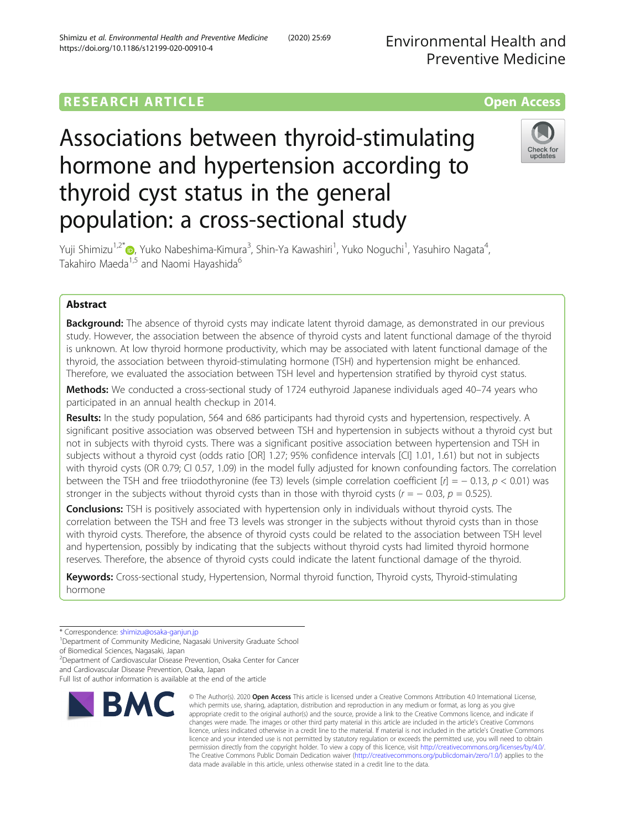Environmental Health and Preventive Medicine

## **RESEARCH ARTICLE Example 2014 12:30 The Contract of Contract ACCESS**

# Associations between thyroid-stimulating hormone and hypertension according to thyroid cyst status in the general population: a cross-sectional study



Yuji Shimizu<sup>1,2[\\*](http://orcid.org/0000-0002-3381-9288)</sup>®, Yuko Nabeshima-Kimura<sup>3</sup>, Shin-Ya Kawashiri<sup>1</sup>, Yuko Noguchi<sup>1</sup>, Yasuhiro Nagata<sup>4</sup> , Takahiro Maeda<sup>1,5</sup> and Naomi Hayashida<sup>6</sup>

## Abstract

**Background:** The absence of thyroid cysts may indicate latent thyroid damage, as demonstrated in our previous study. However, the association between the absence of thyroid cysts and latent functional damage of the thyroid is unknown. At low thyroid hormone productivity, which may be associated with latent functional damage of the thyroid, the association between thyroid-stimulating hormone (TSH) and hypertension might be enhanced. Therefore, we evaluated the association between TSH level and hypertension stratified by thyroid cyst status.

Methods: We conducted a cross-sectional study of 1724 euthyroid Japanese individuals aged 40–74 years who participated in an annual health checkup in 2014.

Results: In the study population, 564 and 686 participants had thyroid cysts and hypertension, respectively. A significant positive association was observed between TSH and hypertension in subjects without a thyroid cyst but not in subjects with thyroid cysts. There was a significant positive association between hypertension and TSH in subjects without a thyroid cyst (odds ratio [OR] 1.27; 95% confidence intervals [CI] 1.01, 1.61) but not in subjects with thyroid cysts (OR 0.79; CI 0.57, 1.09) in the model fully adjusted for known confounding factors. The correlation between the TSH and free triiodothyronine (fee T3) levels (simple correlation coefficient  $[r] = -0.13$ ,  $p < 0.01$ ) was stronger in the subjects without thyroid cysts than in those with thyroid cysts ( $r = -0.03$ ,  $p = 0.525$ ).

**Conclusions:** TSH is positively associated with hypertension only in individuals without thyroid cysts. The correlation between the TSH and free T3 levels was stronger in the subjects without thyroid cysts than in those with thyroid cysts. Therefore, the absence of thyroid cysts could be related to the association between TSH level and hypertension, possibly by indicating that the subjects without thyroid cysts had limited thyroid hormone reserves. Therefore, the absence of thyroid cysts could indicate the latent functional damage of the thyroid.

Keywords: Cross-sectional study, Hypertension, Normal thyroid function, Thyroid cysts, Thyroid-stimulating hormone

\* Correspondence: [shimizu@osaka-ganjun.jp](mailto:shimizu@osaka-ganjun.jp) <sup>1</sup>

<sup>2</sup> Department of Cardiovascular Disease Prevention, Osaka Center for Cancer

and Cardiovascular Disease Prevention, Osaka, Japan

Full list of author information is available at the end of the article



<sup>©</sup> The Author(s), 2020 **Open Access** This article is licensed under a Creative Commons Attribution 4.0 International License, which permits use, sharing, adaptation, distribution and reproduction in any medium or format, as long as you give appropriate credit to the original author(s) and the source, provide a link to the Creative Commons licence, and indicate if changes were made. The images or other third party material in this article are included in the article's Creative Commons licence, unless indicated otherwise in a credit line to the material. If material is not included in the article's Creative Commons licence and your intended use is not permitted by statutory regulation or exceeds the permitted use, you will need to obtain permission directly from the copyright holder. To view a copy of this licence, visit [http://creativecommons.org/licenses/by/4.0/.](http://creativecommons.org/licenses/by/4.0/) The Creative Commons Public Domain Dedication waiver [\(http://creativecommons.org/publicdomain/zero/1.0/](http://creativecommons.org/publicdomain/zero/1.0/)) applies to the data made available in this article, unless otherwise stated in a credit line to the data.

<sup>&</sup>lt;sup>1</sup>Department of Community Medicine, Nagasaki University Graduate School of Biomedical Sciences, Nagasaki, Japan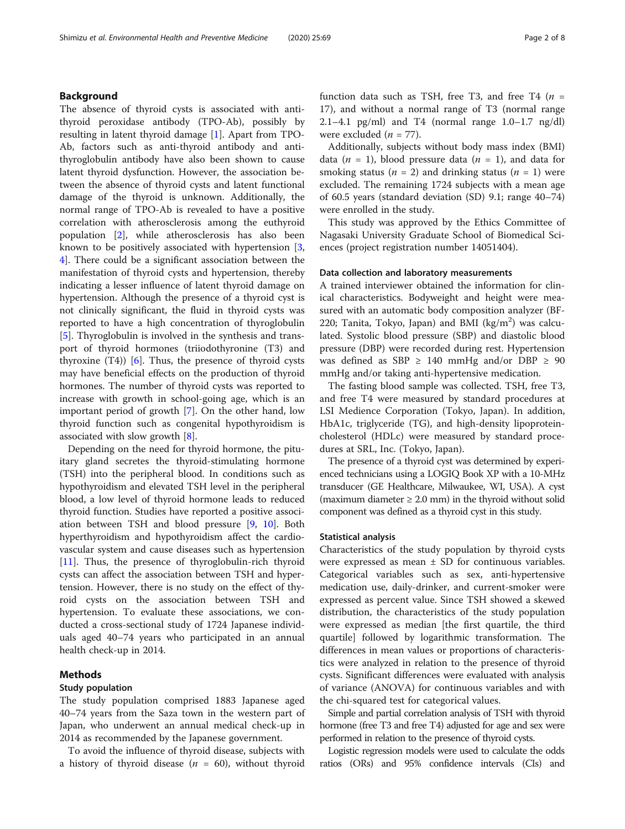## Background

The absence of thyroid cysts is associated with antithyroid peroxidase antibody (TPO-Ab), possibly by resulting in latent thyroid damage [[1\]](#page-7-0). Apart from TPO-Ab, factors such as anti-thyroid antibody and antithyroglobulin antibody have also been shown to cause latent thyroid dysfunction. However, the association between the absence of thyroid cysts and latent functional damage of the thyroid is unknown. Additionally, the normal range of TPO-Ab is revealed to have a positive correlation with atherosclerosis among the euthyroid population [[2\]](#page-7-0), while atherosclerosis has also been known to be positively associated with hypertension [\[3](#page-7-0), [4\]](#page-7-0). There could be a significant association between the manifestation of thyroid cysts and hypertension, thereby indicating a lesser influence of latent thyroid damage on hypertension. Although the presence of a thyroid cyst is not clinically significant, the fluid in thyroid cysts was reported to have a high concentration of thyroglobulin [[5\]](#page-7-0). Thyroglobulin is involved in the synthesis and transport of thyroid hormones (triiodothyronine (T3) and thyroxine  $(T4)$ ) [[6\]](#page-7-0). Thus, the presence of thyroid cysts may have beneficial effects on the production of thyroid hormones. The number of thyroid cysts was reported to increase with growth in school-going age, which is an important period of growth [[7\]](#page-7-0). On the other hand, low thyroid function such as congenital hypothyroidism is associated with slow growth [[8\]](#page-7-0).

Depending on the need for thyroid hormone, the pituitary gland secretes the thyroid-stimulating hormone (TSH) into the peripheral blood. In conditions such as hypothyroidism and elevated TSH level in the peripheral blood, a low level of thyroid hormone leads to reduced thyroid function. Studies have reported a positive association between TSH and blood pressure [\[9](#page-7-0), [10](#page-7-0)]. Both hyperthyroidism and hypothyroidism affect the cardiovascular system and cause diseases such as hypertension [[11\]](#page-7-0). Thus, the presence of thyroglobulin-rich thyroid cysts can affect the association between TSH and hypertension. However, there is no study on the effect of thyroid cysts on the association between TSH and hypertension. To evaluate these associations, we conducted a cross-sectional study of 1724 Japanese individuals aged 40–74 years who participated in an annual health check-up in 2014.

## Methods

## Study population

The study population comprised 1883 Japanese aged 40–74 years from the Saza town in the western part of Japan, who underwent an annual medical check-up in 2014 as recommended by the Japanese government.

To avoid the influence of thyroid disease, subjects with a history of thyroid disease ( $n = 60$ ), without thyroid function data such as TSH, free T3, and free T4 ( $n =$ 17), and without a normal range of T3 (normal range 2.1–4.1 pg/ml) and T4 (normal range 1.0–1.7 ng/dl) were excluded  $(n = 77)$ .

Additionally, subjects without body mass index (BMI) data ( $n = 1$ ), blood pressure data ( $n = 1$ ), and data for smoking status ( $n = 2$ ) and drinking status ( $n = 1$ ) were excluded. The remaining 1724 subjects with a mean age of 60.5 years (standard deviation (SD) 9.1; range 40–74) were enrolled in the study.

This study was approved by the Ethics Committee of Nagasaki University Graduate School of Biomedical Sciences (project registration number 14051404).

#### Data collection and laboratory measurements

A trained interviewer obtained the information for clinical characteristics. Bodyweight and height were measured with an automatic body composition analyzer (BF-220; Tanita, Tokyo, Japan) and BMI  $(kg/m<sup>2</sup>)$  was calculated. Systolic blood pressure (SBP) and diastolic blood pressure (DBP) were recorded during rest. Hypertension was defined as SBP  $\geq$  140 mmHg and/or DBP  $\geq$  90 mmHg and/or taking anti-hypertensive medication.

The fasting blood sample was collected. TSH, free T3, and free T4 were measured by standard procedures at LSI Medience Corporation (Tokyo, Japan). In addition, HbA1c, triglyceride (TG), and high-density lipoproteincholesterol (HDLc) were measured by standard procedures at SRL, Inc. (Tokyo, Japan).

The presence of a thyroid cyst was determined by experienced technicians using a LOGIQ Book XP with a 10-MHz transducer (GE Healthcare, Milwaukee, WI, USA). A cyst (maximum diameter  $\geq 2.0$  mm) in the thyroid without solid component was defined as a thyroid cyst in this study.

### Statistical analysis

Characteristics of the study population by thyroid cysts were expressed as mean  $\pm$  SD for continuous variables. Categorical variables such as sex, anti-hypertensive medication use, daily-drinker, and current-smoker were expressed as percent value. Since TSH showed a skewed distribution, the characteristics of the study population were expressed as median [the first quartile, the third quartile] followed by logarithmic transformation. The differences in mean values or proportions of characteristics were analyzed in relation to the presence of thyroid cysts. Significant differences were evaluated with analysis of variance (ANOVA) for continuous variables and with the chi-squared test for categorical values.

Simple and partial correlation analysis of TSH with thyroid hormone (free T3 and free T4) adjusted for age and sex were performed in relation to the presence of thyroid cysts.

Logistic regression models were used to calculate the odds ratios (ORs) and 95% confidence intervals (CIs) and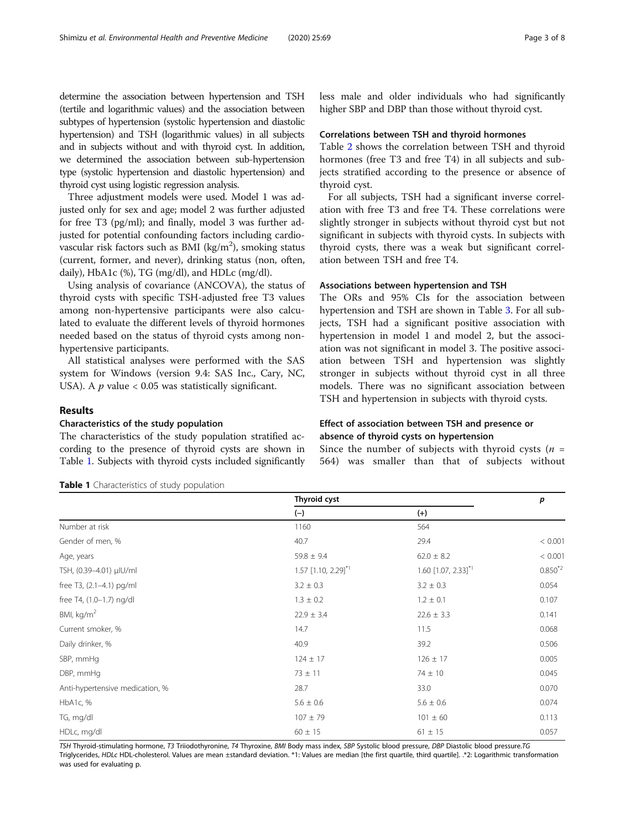<span id="page-2-0"></span>determine the association between hypertension and TSH (tertile and logarithmic values) and the association between subtypes of hypertension (systolic hypertension and diastolic hypertension) and TSH (logarithmic values) in all subjects and in subjects without and with thyroid cyst. In addition, we determined the association between sub-hypertension type (systolic hypertension and diastolic hypertension) and thyroid cyst using logistic regression analysis.

Three adjustment models were used. Model 1 was adjusted only for sex and age; model 2 was further adjusted for free T3 (pg/ml); and finally, model 3 was further adjusted for potential confounding factors including cardiovascular risk factors such as BMI (kg/m<sup>2</sup>), smoking status (current, former, and never), drinking status (non, often, daily), HbA1c (%), TG (mg/dl), and HDLc (mg/dl).

Using analysis of covariance (ANCOVA), the status of thyroid cysts with specific TSH-adjusted free T3 values among non-hypertensive participants were also calculated to evaluate the different levels of thyroid hormones needed based on the status of thyroid cysts among nonhypertensive participants.

All statistical analyses were performed with the SAS system for Windows (version 9.4: SAS Inc., Cary, NC, USA). A  $p$  value < 0.05 was statistically significant.

## Results

## Characteristics of the study population

The characteristics of the study population stratified according to the presence of thyroid cysts are shown in Table 1. Subjects with thyroid cysts included significantly

Table 1 Characteristics of study population

less male and older individuals who had significantly higher SBP and DBP than those without thyroid cyst.

#### Correlations between TSH and thyroid hormones

Table [2](#page-3-0) shows the correlation between TSH and thyroid hormones (free T3 and free T4) in all subjects and subjects stratified according to the presence or absence of thyroid cyst.

For all subjects, TSH had a significant inverse correlation with free T3 and free T4. These correlations were slightly stronger in subjects without thyroid cyst but not significant in subjects with thyroid cysts. In subjects with thyroid cysts, there was a weak but significant correlation between TSH and free T4.

## Associations between hypertension and TSH

The ORs and 95% CIs for the association between hypertension and TSH are shown in Table [3.](#page-3-0) For all subjects, TSH had a significant positive association with hypertension in model 1 and model 2, but the association was not significant in model 3. The positive association between TSH and hypertension was slightly stronger in subjects without thyroid cyst in all three models. There was no significant association between TSH and hypertension in subjects with thyroid cysts.

## Effect of association between TSH and presence or absence of thyroid cysts on hypertension

Since the number of subjects with thyroid cysts  $(n =$ 564) was smaller than that of subjects without

|                                 | Thyroid cyst                      |                                   | p            |  |
|---------------------------------|-----------------------------------|-----------------------------------|--------------|--|
|                                 | $(-)$                             | $(+)$                             |              |  |
| Number at risk                  | 1160                              | 564                               |              |  |
| Gender of men, %                | 40.7                              | 29.4                              | < 0.001      |  |
| Age, years                      | $59.8 \pm 9.4$                    | $62.0 \pm 8.2$                    | < 0.001      |  |
| TSH, (0.39-4.01) µlU/ml         | 1.57 $[1.10, 2.29]$ <sup>*1</sup> | 1.60 $[1.07, 2.33]$ <sup>*1</sup> | $0.850^{*2}$ |  |
| free T3, (2.1-4.1) pg/ml        | $3.2 \pm 0.3$                     | $3.2 \pm 0.3$                     | 0.054        |  |
| free T4, (1.0-1.7) ng/dl        | $1.3 \pm 0.2$                     | $1.2 \pm 0.1$                     | 0.107        |  |
| BMI, $kg/m2$                    | $22.9 \pm 3.4$                    | $22.6 \pm 3.3$                    | 0.141        |  |
| Current smoker, %               | 14.7                              | 11.5                              | 0.068        |  |
| Daily drinker, %                | 40.9                              | 39.2                              | 0.506        |  |
| SBP, mmHq                       | $124 \pm 17$                      | $126 \pm 17$                      | 0.005        |  |
| DBP, mmHg                       | $73 \pm 11$                       | $74 \pm 10$                       | 0.045        |  |
| Anti-hypertensive medication, % | 28.7                              | 33.0                              | 0.070        |  |
| HbA1c, %                        | $5.6 \pm 0.6$                     | $5.6 \pm 0.6$                     |              |  |
| TG, mg/dl                       | $107 \pm 79$                      | $101 \pm 60$                      |              |  |
| HDLc, mg/dl                     | $60 \pm 15$<br>$61 \pm 15$        |                                   | 0.057        |  |

TSH Thyroid-stimulating hormone, T3 Triiodothyronine, T4 Thyroxine, BMI Body mass index, SBP Systolic blood pressure, DBP Diastolic blood pressure.TG Triglycerides, HDLc HDL-cholesterol. Values are mean ±standard deviation. \*1: Values are median [the first quartile, third quartile]. .\*2: Logarithmic transformation was used for evaluating p.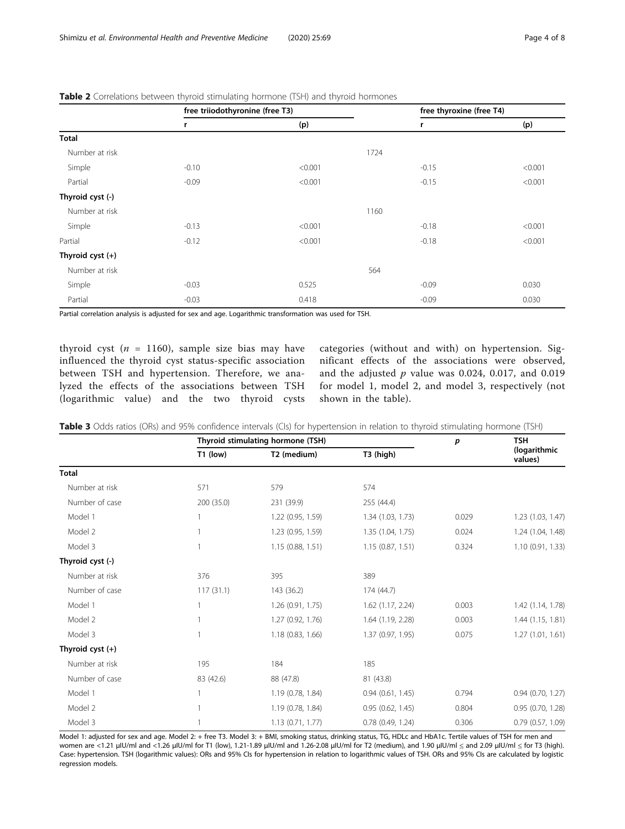|                            | free triiodothyronine (free T3) |         | free thyroxine (free T4) |         |
|----------------------------|---------------------------------|---------|--------------------------|---------|
|                            | r                               | (p)     | r                        | (p)     |
| Total                      |                                 |         |                          |         |
| Number at risk             |                                 |         | 1724                     |         |
| Simple                     | $-0.10$                         | < 0.001 | $-0.15$                  | < 0.001 |
| Partial                    | $-0.09$                         | < 0.001 | $-0.15$                  | < 0.001 |
| Thyroid cyst (-)           |                                 |         |                          |         |
| Number at risk             |                                 |         | 1160                     |         |
| Simple                     | $-0.13$                         | < 0.001 | $-0.18$                  | < 0.001 |
| Partial                    | $-0.12$                         | < 0.001 | $-0.18$                  | < 0.001 |
| Thyroid $\text{cyst } (+)$ |                                 |         |                          |         |
| Number at risk             |                                 |         | 564                      |         |
| Simple                     | $-0.03$                         | 0.525   | $-0.09$                  | 0.030   |
| Partial                    | $-0.03$                         | 0.418   | $-0.09$                  | 0.030   |

## <span id="page-3-0"></span>Table 2 Correlations between thyroid stimulating hormone (TSH) and thyroid hormones

Partial correlation analysis is adjusted for sex and age. Logarithmic transformation was used for TSH.

thyroid cyst ( $n = 1160$ ), sample size bias may have influenced the thyroid cyst status-specific association between TSH and hypertension. Therefore, we analyzed the effects of the associations between TSH (logarithmic value) and the two thyroid cysts categories (without and with) on hypertension. Significant effects of the associations were observed, and the adjusted  $p$  value was 0.024, 0.017, and 0.019 for model 1, model 2, and model 3, respectively (not shown in the table).

|                            | Thyroid stimulating hormone (TSH) |                   |                       | p     | <b>TSH</b>              |
|----------------------------|-----------------------------------|-------------------|-----------------------|-------|-------------------------|
|                            | $T1$ (low)                        | T2 (medium)       | T3 (high)             |       | (logarithmic<br>values) |
| <b>Total</b>               |                                   |                   |                       |       |                         |
| Number at risk             | 571                               | 579               | 574                   |       |                         |
| Number of case             | 200 (35.0)                        | 231 (39.9)        | 255 (44.4)            |       |                         |
| Model 1                    |                                   | 1.22 (0.95, 1.59) | 1.34 (1.03, 1.73)     | 0.029 | 1.23 (1.03, 1.47)       |
| Model 2                    |                                   | 1.23 (0.95, 1.59) | 1.35 (1.04, 1.75)     | 0.024 | 1.24 (1.04, 1.48)       |
| Model 3                    |                                   | 1.15(0.88, 1.51)  | 1.15(0.87, 1.51)      | 0.324 | 1.10 (0.91, 1.33)       |
| Thyroid cyst (-)           |                                   |                   |                       |       |                         |
| Number at risk             | 376                               | 395               | 389                   |       |                         |
| Number of case             | 117(31.1)                         | 143 (36.2)        | 174 (44.7)            |       |                         |
| Model 1                    |                                   | 1.26 (0.91, 1.75) | $1.62$ (1.17, 2.24)   | 0.003 | 1.42 (1.14, 1.78)       |
| Model 2                    |                                   | 1.27 (0.92, 1.76) | 1.64 (1.19, 2.28)     | 0.003 | 1.44 (1.15, 1.81)       |
| Model 3                    |                                   | 1.18(0.83, 1.66)  | 1.37 (0.97, 1.95)     | 0.075 | 1.27(1.01, 1.61)        |
| Thyroid $\text{cyst } (+)$ |                                   |                   |                       |       |                         |
| Number at risk             | 195                               | 184               | 185                   |       |                         |
| Number of case             | 83 (42.6)                         | 88 (47.8)         | 81 (43.8)             |       |                         |
| Model 1                    |                                   | 1.19 (0.78, 1.84) | 0.94(0.61, 1.45)      | 0.794 | $0.94$ $(0.70, 1.27)$   |
| Model 2                    |                                   | 1.19 (0.78, 1.84) | 0.95(0.62, 1.45)      | 0.804 | $0.95$ $(0.70, 1.28)$   |
| Model 3                    |                                   | 1.13(0.71, 1.77)  | $0.78$ $(0.49, 1.24)$ | 0.306 | $0.79$ $(0.57, 1.09)$   |

Table 3 Odds ratios (ORs) and 95% confidence intervals (CIs) for hypertension in relation to thyroid stimulating hormone (TSH)

Model 1: adjusted for sex and age. Model 2: + free T3. Model 3: + BMI, smoking status, drinking status, TG, HDLc and HbA1c. Tertile values of TSH for men and women are <1.21 μIU/ml and <1.26 μIU/ml for T1 (low), 1.21-1.89 μIU/ml and 1.26-2.08 μIU/ml for T2 (medium), and 1.90 μIU/ml ≤ and 2.09 μIU/ml ≤ for T3 (high). Case: hypertension. TSH (logarithmic values): ORs and 95% CIs for hypertension in relation to logarithmic values of TSH. ORs and 95% CIs are calculated by logistic regression models.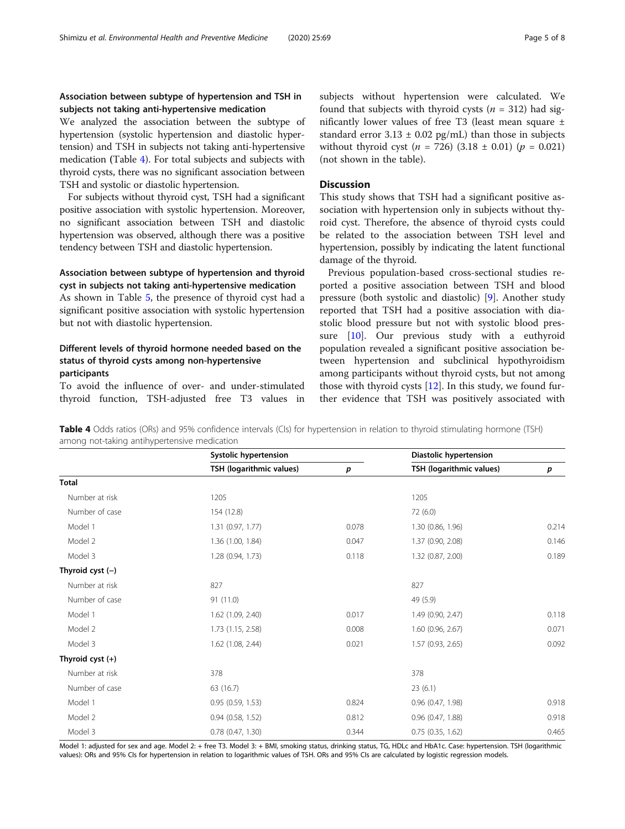## <span id="page-4-0"></span>Association between subtype of hypertension and TSH in subjects not taking anti-hypertensive medication

We analyzed the association between the subtype of hypertension (systolic hypertension and diastolic hypertension) and TSH in subjects not taking anti-hypertensive medication (Table 4). For total subjects and subjects with thyroid cysts, there was no significant association between TSH and systolic or diastolic hypertension.

For subjects without thyroid cyst, TSH had a significant positive association with systolic hypertension. Moreover, no significant association between TSH and diastolic hypertension was observed, although there was a positive tendency between TSH and diastolic hypertension.

## Association between subtype of hypertension and thyroid cyst in subjects not taking anti-hypertensive medication

As shown in Table [5](#page-5-0), the presence of thyroid cyst had a significant positive association with systolic hypertension but not with diastolic hypertension.

## Different levels of thyroid hormone needed based on the status of thyroid cysts among non-hypertensive participants

To avoid the influence of over- and under-stimulated thyroid function, TSH-adjusted free T3 values in subjects without hypertension were calculated. We found that subjects with thyroid cysts ( $n = 312$ ) had significantly lower values of free T3 (least mean square ± standard error  $3.13 \pm 0.02$  pg/mL) than those in subjects without thyroid cyst ( $n = 726$ ) (3.18 ± 0.01) ( $p = 0.021$ ) (not shown in the table).

## **Discussion**

This study shows that TSH had a significant positive association with hypertension only in subjects without thyroid cyst. Therefore, the absence of thyroid cysts could be related to the association between TSH level and hypertension, possibly by indicating the latent functional damage of the thyroid.

Previous population-based cross-sectional studies reported a positive association between TSH and blood pressure (both systolic and diastolic) [[9\]](#page-7-0). Another study reported that TSH had a positive association with diastolic blood pressure but not with systolic blood pressure [\[10](#page-7-0)]. Our previous study with a euthyroid population revealed a significant positive association between hypertension and subclinical hypothyroidism among participants without thyroid cysts, but not among those with thyroid cysts  $[12]$ . In this study, we found further evidence that TSH was positively associated with

**Table 4** Odds ratios (ORs) and 95% confidence intervals (CIs) for hypertension in relation to thyroid stimulating hormone (TSH) among not-taking antihypertensive medication

|                    | Systolic hypertension    |       | <b>Diastolic hypertension</b> |       |  |
|--------------------|--------------------------|-------|-------------------------------|-------|--|
|                    | TSH (logarithmic values) | p     | TSH (logarithmic values)      | p     |  |
| <b>Total</b>       |                          |       |                               |       |  |
| Number at risk     | 1205                     |       | 1205                          |       |  |
| Number of case     | 154 (12.8)               |       | 72 (6.0)                      |       |  |
| Model 1            | 1.31 (0.97, 1.77)        | 0.078 | 1.30 (0.86, 1.96)             | 0.214 |  |
| Model 2            | 1.36 (1.00, 1.84)        | 0.047 | 1.37 (0.90, 2.08)             | 0.146 |  |
| Model 3            | 1.28 (0.94, 1.73)        | 0.118 | 1.32 (0.87, 2.00)             | 0.189 |  |
| Thyroid cyst $(-)$ |                          |       |                               |       |  |
| Number at risk     | 827                      |       | 827                           |       |  |
| Number of case     | 91(11.0)                 |       | 49 (5.9)                      |       |  |
| Model 1            | 1.62 (1.09, 2.40)        | 0.017 | 1.49 (0.90, 2.47)             | 0.118 |  |
| Model 2            | 1.73 (1.15, 2.58)        | 0.008 | 1.60 (0.96, 2.67)             | 0.071 |  |
| Model 3            | 1.62 (1.08, 2.44)        | 0.021 | 1.57 (0.93, 2.65)             | 0.092 |  |
| Thyroid cyst (+)   |                          |       |                               |       |  |
| Number at risk     | 378                      |       | 378                           |       |  |
| Number of case     | 63 (16.7)                |       | 23(6.1)                       |       |  |
| Model 1            | 0.95(0.59, 1.53)         | 0.824 | $0.96$ $(0.47, 1.98)$         | 0.918 |  |
| Model 2            | 0.94(0.58, 1.52)         | 0.812 | $0.96$ $(0.47, 1.88)$         | 0.918 |  |
| Model 3            | 0.78(0.47, 1.30)         | 0.344 | $0.75$ $(0.35, 1.62)$         | 0.465 |  |

Model 1: adjusted for sex and age. Model 2: + free T3. Model 3: + BMI, smoking status, drinking status, TG, HDLc and HbA1c. Case: hypertension. TSH (logarithmic values): ORs and 95% CIs for hypertension in relation to logarithmic values of TSH. ORs and 95% CIs are calculated by logistic regression models.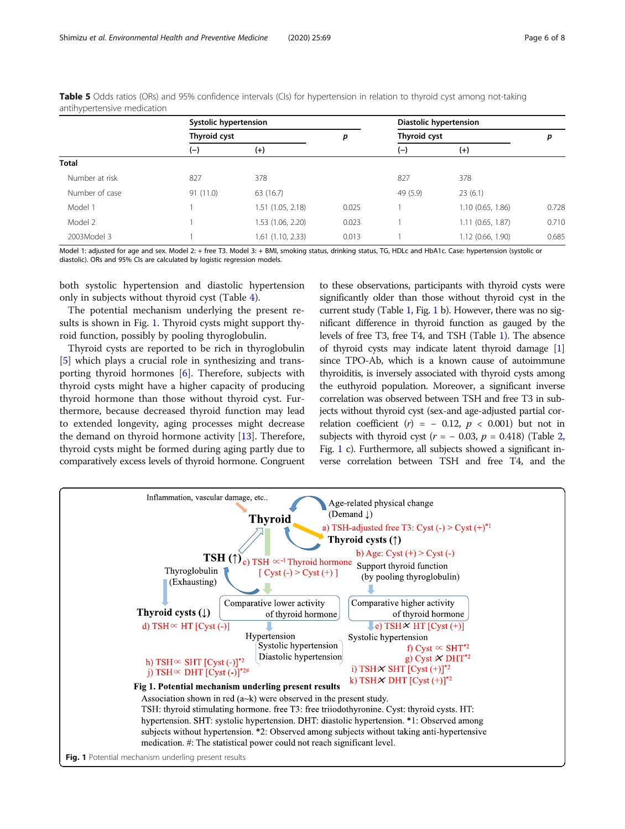|                | Systolic hypertension |                     |       | Diastolic hypertension |                   |       |
|----------------|-----------------------|---------------------|-------|------------------------|-------------------|-------|
|                | Thyroid cyst          |                     | p     | Thyroid cyst           |                   | р     |
|                | $(-)$                 | $(+)$               |       | $(-)$                  | $(+)$             |       |
| Total          |                       |                     |       |                        |                   |       |
| Number at risk | 827                   | 378                 |       | 827                    | 378               |       |
| Number of case | 91 (11.0)             | 63 (16.7)           |       | 49 (5.9)               | 23(6.1)           |       |
| Model 1        |                       | 1.51 (1.05, 2.18)   | 0.025 |                        | 1.10(0.65, 1.86)  | 0.728 |
| Model 2        |                       | 1.53 (1.06, 2.20)   | 0.023 |                        | 1.11(0.65, 1.87)  | 0.710 |
| 2003Model 3    |                       | $1.61$ (1.10, 2.33) | 0.013 |                        | 1.12 (0.66, 1.90) | 0.685 |

<span id="page-5-0"></span>**Table 5** Odds ratios (ORs) and 95% confidence intervals (CIs) for hypertension in relation to thyroid cyst among not-taking antihypertensive medication

Model 1: adjusted for age and sex. Model 2: + free T3. Model 3: + BMI, smoking status, drinking status, TG, HDLc and HbA1c. Case: hypertension (systolic or diastolic). ORs and 95% CIs are calculated by logistic regression models.

both systolic hypertension and diastolic hypertension only in subjects without thyroid cyst (Table [4\)](#page-4-0).

The potential mechanism underlying the present results is shown in Fig. 1. Thyroid cysts might support thyroid function, possibly by pooling thyroglobulin.

Thyroid cysts are reported to be rich in thyroglobulin [[5\]](#page-7-0) which plays a crucial role in synthesizing and transporting thyroid hormones [[6\]](#page-7-0). Therefore, subjects with thyroid cysts might have a higher capacity of producing thyroid hormone than those without thyroid cyst. Furthermore, because decreased thyroid function may lead to extended longevity, aging processes might decrease the demand on thyroid hormone activity [[13\]](#page-7-0). Therefore, thyroid cysts might be formed during aging partly due to comparatively excess levels of thyroid hormone. Congruent to these observations, participants with thyroid cysts were significantly older than those without thyroid cyst in the current study (Table [1,](#page-2-0) Fig. 1 b). However, there was no significant difference in thyroid function as gauged by the levels of free T3, free T4, and TSH (Table [1\)](#page-2-0). The absence of thyroid cysts may indicate latent thyroid damage [[1](#page-7-0)] since TPO-Ab, which is a known cause of autoimmune thyroiditis, is inversely associated with thyroid cysts among the euthyroid population. Moreover, a significant inverse correlation was observed between TSH and free T3 in subjects without thyroid cyst (sex-and age-adjusted partial correlation coefficient  $(r) = -0.12$ ,  $p < 0.001$ ) but not in subjects with thyroid cyst ( $r = -0.03$ ,  $p = 0.418$ ) (Table [2](#page-3-0), Fig. 1 c). Furthermore, all subjects showed a significant inverse correlation between TSH and free T4, and the

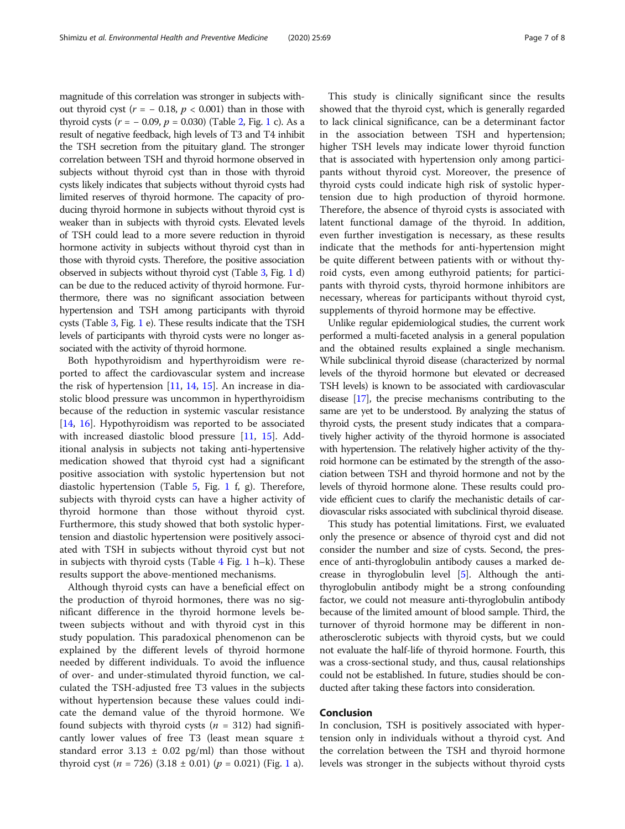magnitude of this correlation was stronger in subjects without thyroid cyst ( $r = -0.18$ ,  $p < 0.001$ ) than in those with thyroid cysts  $(r = -0.09, p = 0.030)$  (Table [2,](#page-3-0) Fig. [1](#page-5-0) c). As a result of negative feedback, high levels of T3 and T4 inhibit the TSH secretion from the pituitary gland. The stronger correlation between TSH and thyroid hormone observed in subjects without thyroid cyst than in those with thyroid cysts likely indicates that subjects without thyroid cysts had limited reserves of thyroid hormone. The capacity of producing thyroid hormone in subjects without thyroid cyst is weaker than in subjects with thyroid cysts. Elevated levels of TSH could lead to a more severe reduction in thyroid hormone activity in subjects without thyroid cyst than in those with thyroid cysts. Therefore, the positive association observed in subjects without thyroid cyst (Table [3](#page-3-0), Fig. [1](#page-5-0) d) can be due to the reduced activity of thyroid hormone. Furthermore, there was no significant association between hypertension and TSH among participants with thyroid cysts (Table [3](#page-3-0), Fig. [1](#page-5-0) e). These results indicate that the TSH levels of participants with thyroid cysts were no longer associated with the activity of thyroid hormone.

Both hypothyroidism and hyperthyroidism were reported to affect the cardiovascular system and increase the risk of hypertension  $[11, 14, 15]$  $[11, 14, 15]$  $[11, 14, 15]$  $[11, 14, 15]$  $[11, 14, 15]$ . An increase in diastolic blood pressure was uncommon in hyperthyroidism because of the reduction in systemic vascular resistance [[14,](#page-7-0) [16\]](#page-7-0). Hypothyroidism was reported to be associated with increased diastolic blood pressure [\[11](#page-7-0), [15](#page-7-0)]. Additional analysis in subjects not taking anti-hypertensive medication showed that thyroid cyst had a significant positive association with systolic hypertension but not diastolic hypertension (Table [5](#page-5-0), Fig. [1](#page-5-0) f, g). Therefore, subjects with thyroid cysts can have a higher activity of thyroid hormone than those without thyroid cyst. Furthermore, this study showed that both systolic hypertension and diastolic hypertension were positively associated with TSH in subjects without thyroid cyst but not in subjects with thyroid cysts (Table  $4$  Fig. [1](#page-5-0) h–k). These results support the above-mentioned mechanisms.

Although thyroid cysts can have a beneficial effect on the production of thyroid hormones, there was no significant difference in the thyroid hormone levels between subjects without and with thyroid cyst in this study population. This paradoxical phenomenon can be explained by the different levels of thyroid hormone needed by different individuals. To avoid the influence of over- and under-stimulated thyroid function, we calculated the TSH-adjusted free T3 values in the subjects without hypertension because these values could indicate the demand value of the thyroid hormone. We found subjects with thyroid cysts ( $n = 312$ ) had significantly lower values of free T3 (least mean square  $\pm$ standard error 3.13  $\pm$  0.02 pg/ml) than those without thyroid cyst (*n* = 726) (3.[1](#page-5-0)8  $\pm$  0.01) ( $p$  = 0.021) (Fig. 1 a).

This study is clinically significant since the results showed that the thyroid cyst, which is generally regarded to lack clinical significance, can be a determinant factor in the association between TSH and hypertension; higher TSH levels may indicate lower thyroid function that is associated with hypertension only among participants without thyroid cyst. Moreover, the presence of thyroid cysts could indicate high risk of systolic hypertension due to high production of thyroid hormone. Therefore, the absence of thyroid cysts is associated with latent functional damage of the thyroid. In addition, even further investigation is necessary, as these results indicate that the methods for anti-hypertension might be quite different between patients with or without thyroid cysts, even among euthyroid patients; for participants with thyroid cysts, thyroid hormone inhibitors are necessary, whereas for participants without thyroid cyst, supplements of thyroid hormone may be effective.

Unlike regular epidemiological studies, the current work performed a multi-faceted analysis in a general population and the obtained results explained a single mechanism. While subclinical thyroid disease (characterized by normal levels of the thyroid hormone but elevated or decreased TSH levels) is known to be associated with cardiovascular disease [[17](#page-7-0)], the precise mechanisms contributing to the same are yet to be understood. By analyzing the status of thyroid cysts, the present study indicates that a comparatively higher activity of the thyroid hormone is associated with hypertension. The relatively higher activity of the thyroid hormone can be estimated by the strength of the association between TSH and thyroid hormone and not by the levels of thyroid hormone alone. These results could provide efficient cues to clarify the mechanistic details of cardiovascular risks associated with subclinical thyroid disease.

This study has potential limitations. First, we evaluated only the presence or absence of thyroid cyst and did not consider the number and size of cysts. Second, the presence of anti-thyroglobulin antibody causes a marked decrease in thyroglobulin level [\[5\]](#page-7-0). Although the antithyroglobulin antibody might be a strong confounding factor, we could not measure anti-thyroglobulin antibody because of the limited amount of blood sample. Third, the turnover of thyroid hormone may be different in nonatherosclerotic subjects with thyroid cysts, but we could not evaluate the half-life of thyroid hormone. Fourth, this was a cross-sectional study, and thus, causal relationships could not be established. In future, studies should be conducted after taking these factors into consideration.

## Conclusion

In conclusion, TSH is positively associated with hypertension only in individuals without a thyroid cyst. And the correlation between the TSH and thyroid hormone levels was stronger in the subjects without thyroid cysts